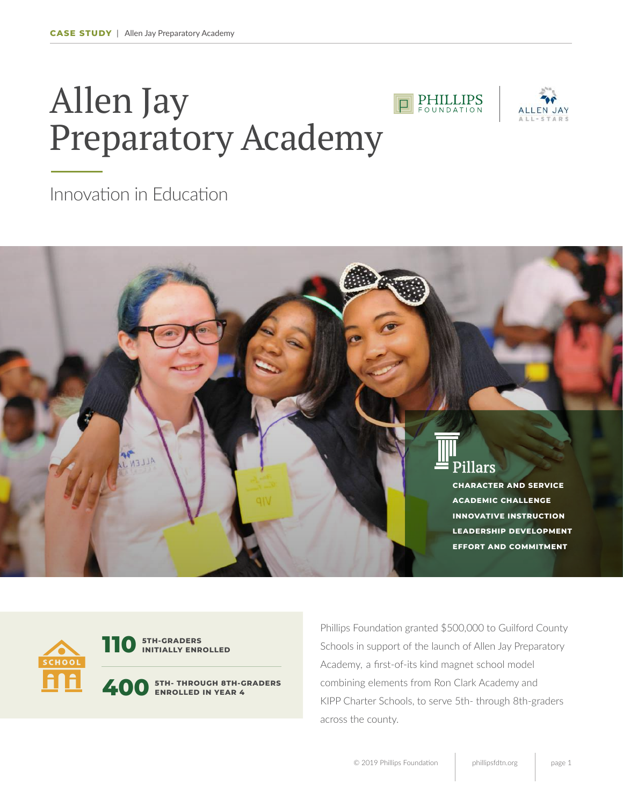## Allen Jay Preparatory Academy





Innovation in Education





**110 STH-GRADERS INITIALLY ENROLLED**

**400 5TH- THROUGH 8TH-GRADERS ENROLLED IN YEAR 4**

Phillips Foundation granted \$500,000 to Guilford County Schools in support of the launch of Allen Jay Preparatory Academy, a first-of-its kind magnet school model combining elements from Ron Clark Academy and KIPP Charter Schools, to serve 5th- through 8th-graders across the county.